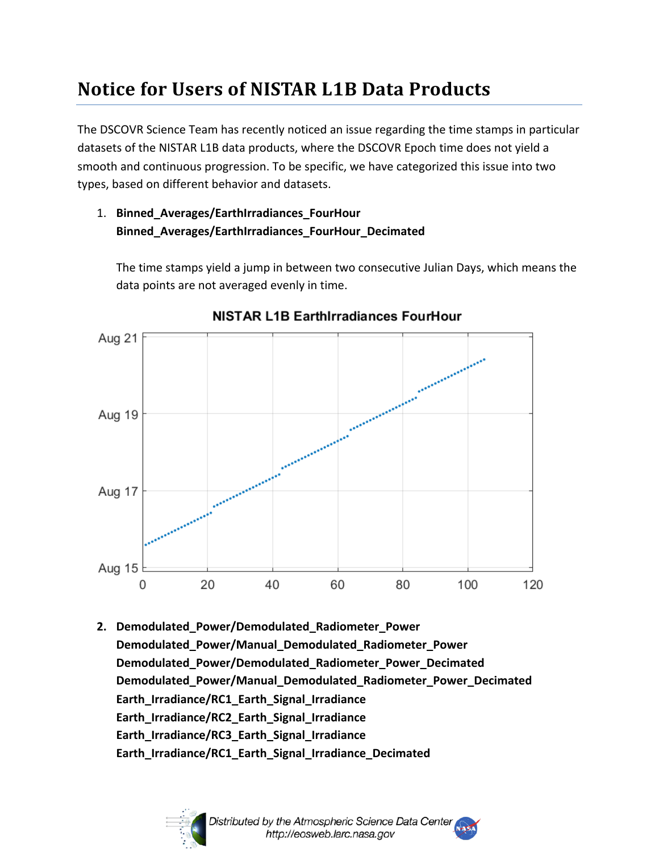## **Notice for Users of NISTAR L1B Data Products**

The DSCOVR Science Team has recently noticed an issue regarding the time stamps in particular datasets of the NISTAR L1B data products, where the DSCOVR Epoch time does not yield a smooth and continuous progression. To be specific, we have categorized this issue into two types, based on different behavior and datasets.

## 1. **Binned\_Averages/EarthIrradiances\_FourHour Binned\_Averages/EarthIrradiances\_FourHour\_Decimated**

The time stamps yield a jump in between two consecutive Julian Days, which means the data points are not averaged evenly in time.



NISTAR L1B EarthIrradiances FourHour

**2. Demodulated\_Power/Demodulated\_Radiometer\_Power Demodulated\_Power/Manual\_Demodulated\_Radiometer\_Power Demodulated\_Power/Demodulated\_Radiometer\_Power\_Decimated Demodulated\_Power/Manual\_Demodulated\_Radiometer\_Power\_Decimated Earth\_Irradiance/RC1\_Earth\_Signal\_Irradiance Earth\_Irradiance/RC2\_Earth\_Signal\_Irradiance Earth\_Irradiance/RC3\_Earth\_Signal\_Irradiance Earth\_Irradiance/RC1\_Earth\_Signal\_Irradiance\_Decimated**

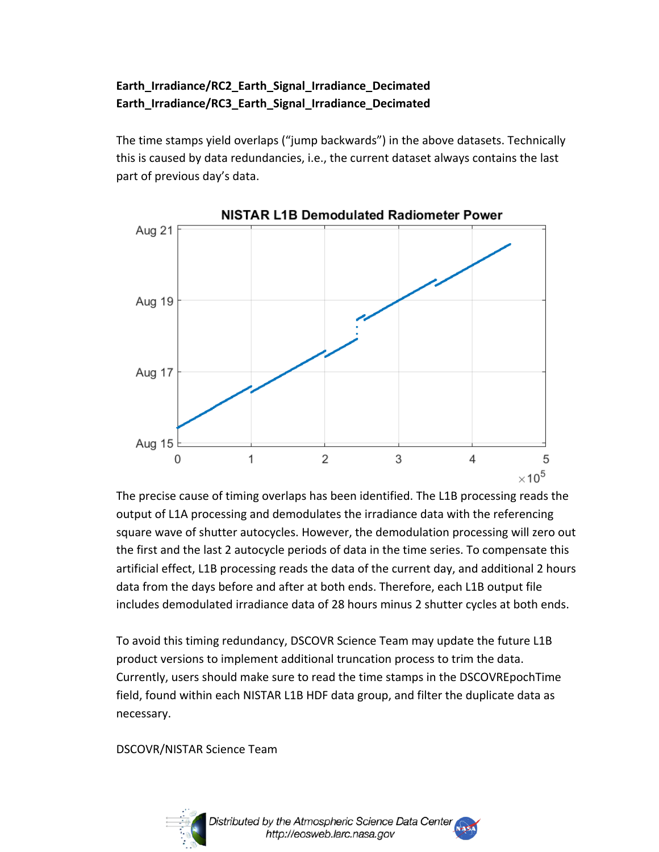## **Earth\_Irradiance/RC2\_Earth\_Signal\_Irradiance\_Decimated Earth\_Irradiance/RC3\_Earth\_Signal\_Irradiance\_Decimated**

The time stamps yield overlaps ("jump backwards") in the above datasets. Technically this is caused by data redundancies, i.e., the current dataset always contains the last part of previous day's data.



The precise cause of timing overlaps has been identified. The L1B processing reads the output of L1A processing and demodulates the irradiance data with the referencing square wave of shutter autocycles. However, the demodulation processing will zero out the first and the last 2 autocycle periods of data in the time series. To compensate this artificial effect, L1B processing reads the data of the current day, and additional 2 hours data from the days before and after at both ends. Therefore, each L1B output file includes demodulated irradiance data of 28 hours minus 2 shutter cycles at both ends.

To avoid this timing redundancy, DSCOVR Science Team may update the future L1B product versions to implement additional truncation process to trim the data. Currently, users should make sure to read the time stamps in the DSCOVREpochTime field, found within each NISTAR L1B HDF data group, and filter the duplicate data as necessary.

DSCOVR/NISTAR Science Team